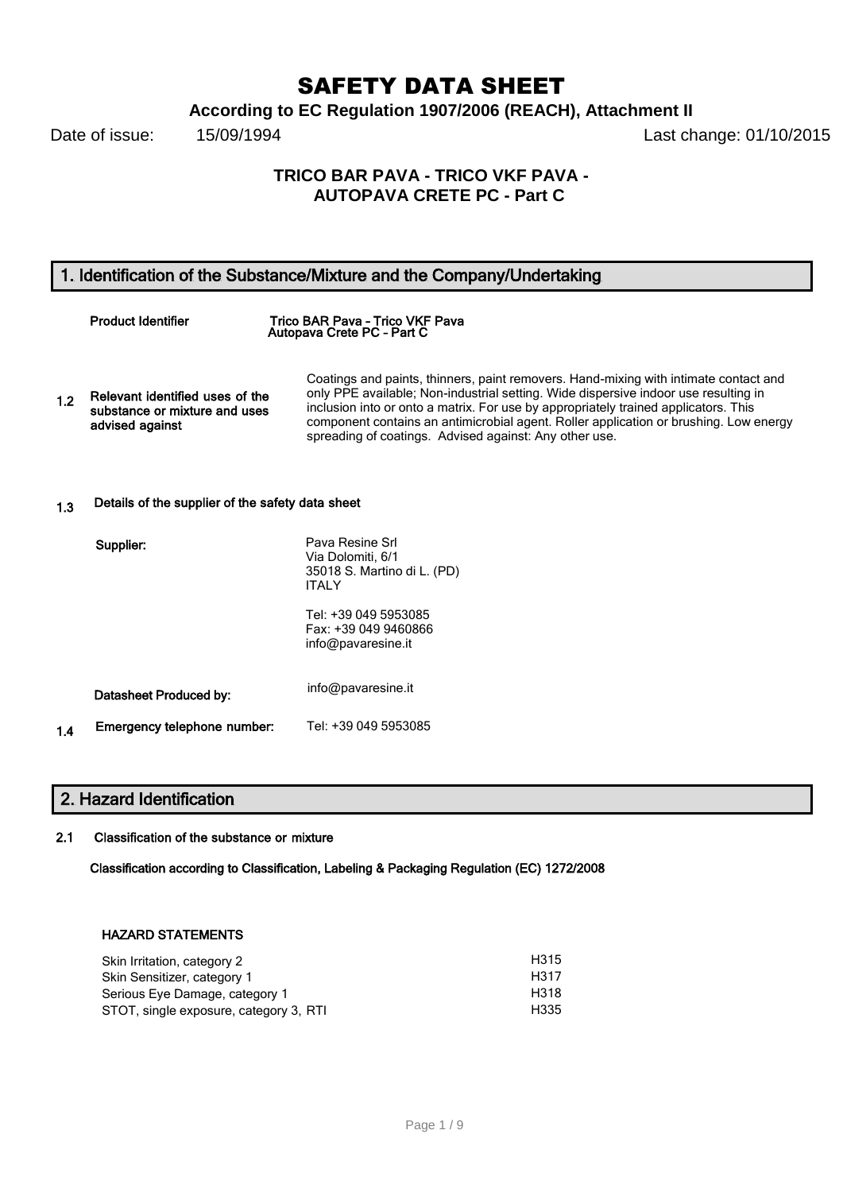# SAFETY DATA SHEET

**According to EC Regulation 1907/2006 (REACH), Attachment II**

Date of issue: 15/09/1994 **Date of issue:** 15/09/1994

# **TRICO BAR PAVA - TRICO VKF PAVA - AUTOPAVA CRETE PC - Part C**

# 1. Identification of the Substance/Mixture and the Company/Undertaking

|     | <b>Product Identifier</b>                                                           | Trico BAR Pava - Trico VKF Pava<br>Autopava Crete PC - Part C                                                                                                                                                                                                                                                                                                                                                         |
|-----|-------------------------------------------------------------------------------------|-----------------------------------------------------------------------------------------------------------------------------------------------------------------------------------------------------------------------------------------------------------------------------------------------------------------------------------------------------------------------------------------------------------------------|
| 1.2 | Relevant identified uses of the<br>substance or mixture and uses<br>advised against | Coatings and paints, thinners, paint removers. Hand-mixing with intimate contact and<br>only PPE available; Non-industrial setting. Wide dispersive indoor use resulting in<br>inclusion into or onto a matrix. For use by appropriately trained applicators. This<br>component contains an antimicrobial agent. Roller application or brushing. Low energy<br>spreading of coatings. Advised against: Any other use. |

# 1.3 Details of the supplier of the safety data sheet

| Supplier: |                             | Pava Resine Srl<br>Via Dolomiti, 6/1<br>35018 S. Martino di L. (PD)<br><b>ITAI Y</b> |
|-----------|-----------------------------|--------------------------------------------------------------------------------------|
|           |                             | Tel: +39 049 5953085<br>Fax: +39 049 9460866<br>info@pavaresine.it                   |
|           | Datasheet Produced by:      | info@pavaresine.it                                                                   |
| 1.4       | Emergency telephone number: | Tel: +39 049 5953085                                                                 |

# 2. Hazard Identification

## 2.1 Classification of the substance or mixture

Classification according to Classification, Labeling & Packaging Regulation (EC) 1272/2008

### HAZARD STATEMENTS

| H <sub>315</sub> |
|------------------|
| H317             |
| H318             |
| H <sub>335</sub> |
|                  |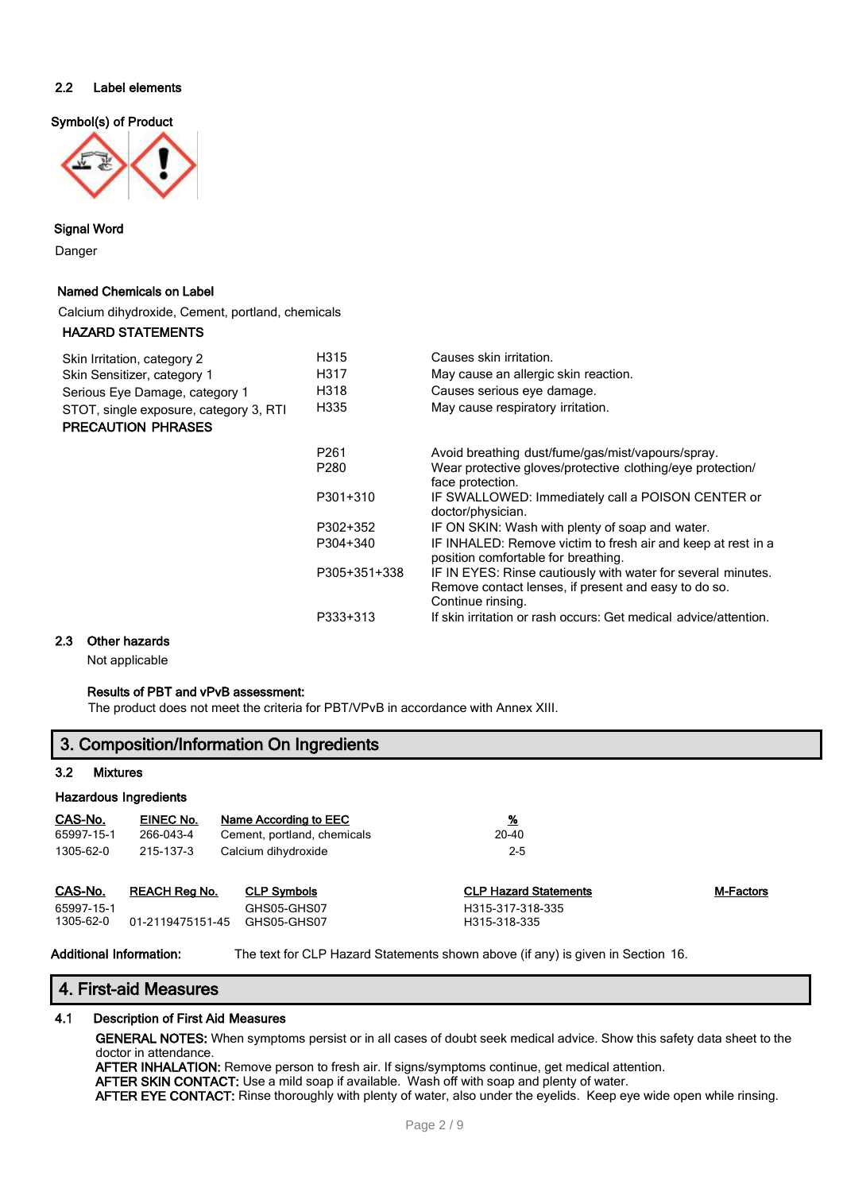### 2.2 Label elements

Symbol(s) of Product



# Signal Word

Danger

#### Named Chemicals on Label

Calcium dihydroxide, Cement, portland, chemicals

#### HAZARD STATEMENTS

| Skin Irritation, category 2<br>Skin Sensitizer, category 1<br>Serious Eye Damage, category 1<br>STOT, single exposure, category 3, RTI<br><b>PRECAUTION PHRASES</b> | H315<br>H317<br>H318<br>H335 | Causes skin irritation.<br>May cause an allergic skin reaction.<br>Causes serious eye damage.<br>May cause respiratory irritation.        |
|---------------------------------------------------------------------------------------------------------------------------------------------------------------------|------------------------------|-------------------------------------------------------------------------------------------------------------------------------------------|
|                                                                                                                                                                     | P <sub>261</sub>             | Avoid breathing dust/fume/gas/mist/vapours/spray.                                                                                         |
|                                                                                                                                                                     | P280                         | Wear protective gloves/protective clothing/eye protection/<br>face protection.                                                            |
|                                                                                                                                                                     | P301+310                     | IF SWALLOWED: Immediately call a POISON CENTER or<br>doctor/physician.                                                                    |
|                                                                                                                                                                     | P302+352                     | IF ON SKIN: Wash with plenty of soap and water.                                                                                           |
|                                                                                                                                                                     | P304+340                     | IF INHALED: Remove victim to fresh air and keep at rest in a<br>position comfortable for breathing.                                       |
|                                                                                                                                                                     | P305+351+338                 | IF IN EYES: Rinse cautiously with water for several minutes.<br>Remove contact lenses, if present and easy to do so.<br>Continue rinsing. |
|                                                                                                                                                                     | P333+313                     | If skin irritation or rash occurs: Get medical advice/attention.                                                                          |

### 2.3 Other hazards

Not applicable

### Results of PBT and vPvB assessment:

The product does not meet the criteria for PBT/VPvB in accordance with Annex XIII.

| 3. Composition/Information On Ingredients |                      |                             |                              |                  |  |  |
|-------------------------------------------|----------------------|-----------------------------|------------------------------|------------------|--|--|
| $3.2\,$<br><b>Mixtures</b>                |                      |                             |                              |                  |  |  |
| <b>Hazardous Ingredients</b>              |                      |                             |                              |                  |  |  |
| CAS-No.                                   | EINEC No.            | Name According to EEC       | <u>%</u>                     |                  |  |  |
| 65997-15-1                                | 266-043-4            | Cement, portland, chemicals | 20-40                        |                  |  |  |
| 1305-62-0                                 | 215-137-3            | Calcium dihydroxide         | $2 - 5$                      |                  |  |  |
| CAS-No.                                   | <b>REACH Reg No.</b> | <b>CLP Symbols</b>          | <b>CLP Hazard Statements</b> | <b>M-Factors</b> |  |  |
| 65997-15-1                                |                      | GHS05-GHS07                 | H315-317-318-335             |                  |  |  |
| 1305-62-0                                 | 01-2119475151-45     | GHS05-GHS07                 | H315-318-335                 |                  |  |  |

Additional Information: The text for CLP Hazard Statements shown above (if any) is given in Section 16.

# 4. First-aid Measures

### 4.1 Description of First Aid Measures

GENERAL NOTES: When symptoms persist or in all cases of doubt seek medical advice. Show this safety data sheet to the doctor in attendance.

AFTER INHALATION: Remove person to fresh air. If signs/symptoms continue, get medical attention.

AFTER SKIN CONTACT: Use a mild soap if available. Wash off with soap and plenty of water.

AFTER EYE CONTACT: Rinse thoroughly with plenty of water, also under the eyelids. Keep eye wide open while rinsing.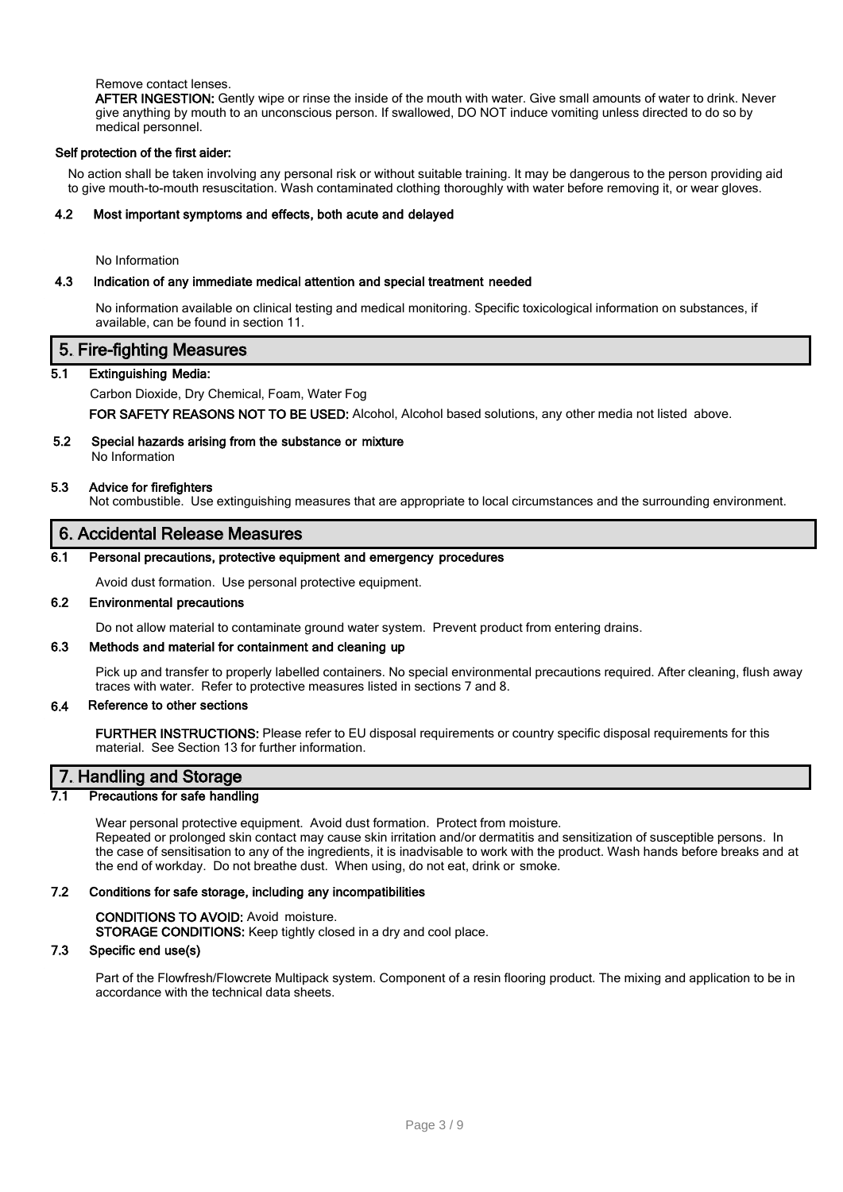### Remove contact lenses.

AFTER INGESTION: Gently wipe or rinse the inside of the mouth with water. Give small amounts of water to drink. Never give anything by mouth to an unconscious person. If swallowed, DO NOT induce vomiting unless directed to do so by medical personnel.

#### Self protection of the first aider:

No action shall be taken involving any personal risk or without suitable training. It may be dangerous to the person providing aid to give mouth-to-mouth resuscitation. Wash contaminated clothing thoroughly with water before removing it, or wear gloves.

#### 4.2 Most important symptoms and effects, both acute and delayed

No Information

### 4.3 Indication of any immediate medical attention and special treatment needed

No information available on clinical testing and medical monitoring. Specific toxicological information on substances, if available, can be found in section 11.

### 5. Fire-fighting Measures

### 5.1 Extinguishing Media:

### Carbon Dioxide, Dry Chemical, Foam, Water Fog

FOR SAFETY REASONS NOT TO BE USED: Alcohol, Alcohol based solutions, any other media not listed above.

# 5.2 Special hazards arising from the substance or mixture

No Information

### 5.3 Advice for firefighters

Not combustible. Use extinguishing measures that are appropriate to local circumstances and the surrounding environment.

# 6. Accidental Release Measures

### 6.1 Personal precautions, protective equipment and emergency procedures

Avoid dust formation. Use personal protective equipment.

### 6.2 Environmental precautions

Do not allow material to contaminate ground water system. Prevent product from entering drains.

## 6.3 Methods and material for containment and cleaning up

Pick up and transfer to properly labelled containers. No special environmental precautions required. After cleaning, flush away traces with water. Refer to protective measures listed in sections 7 and 8.

### 6.4 Reference to other sections

FURTHER INSTRUCTIONS: Please refer to EU disposal requirements or country specific disposal requirements for this material. See Section 13 for further information.

# 7. Handling and Storage

### Precautions for safe handling

Wear personal protective equipment. Avoid dust formation. Protect from moisture. Repeated or prolonged skin contact may cause skin irritation and/or dermatitis and sensitization of susceptible persons. In the case of sensitisation to any of the ingredients, it is inadvisable to work with the product. Wash hands before breaks and at the end of workday. Do not breathe dust. When using, do not eat, drink or smoke.

#### 7.2 Conditions for safe storage, including any incompatibilities

CONDITIONS TO AVOID: Avoid moisture. STORAGE CONDITIONS: Keep tightly closed in a dry and cool place.

### 7.3 Specific end use(s)

Part of the Flowfresh/Flowcrete Multipack system. Component of a resin flooring product. The mixing and application to be in accordance with the technical data sheets.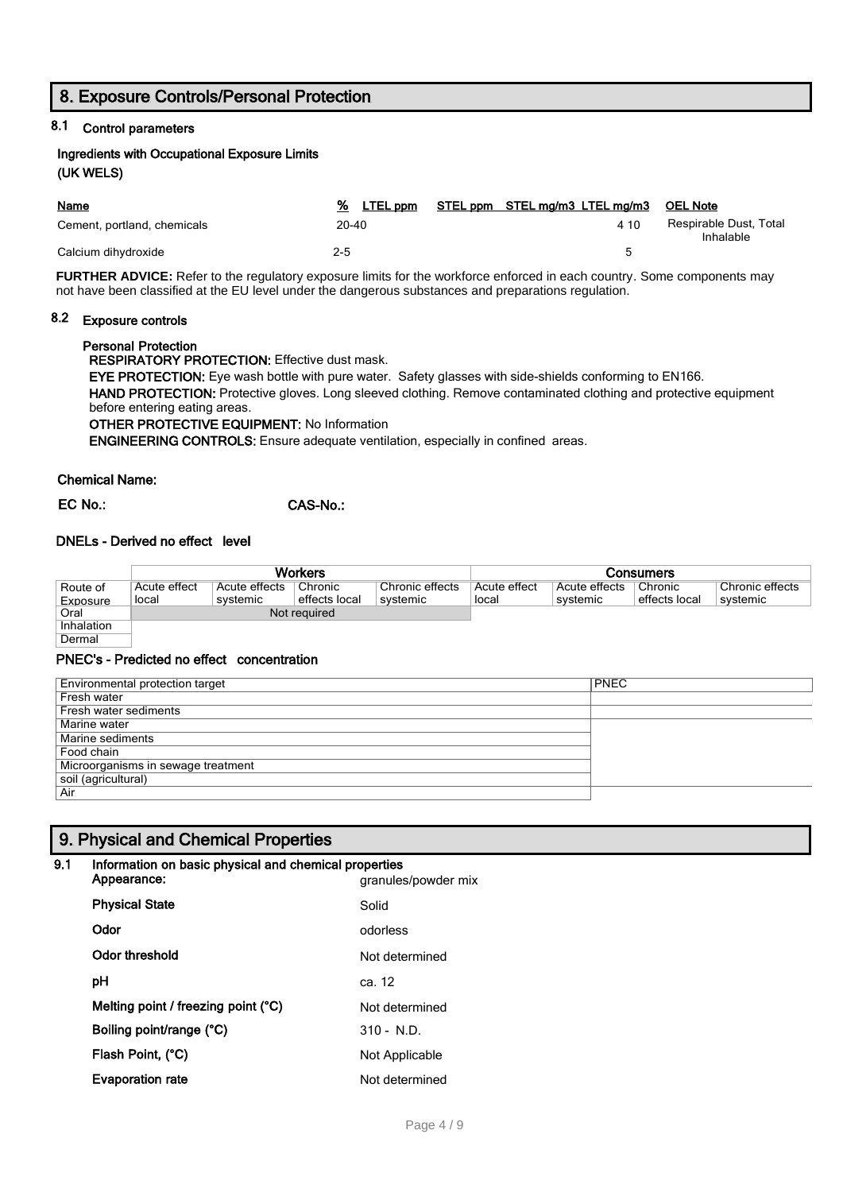# 8. Exposure Controls/Personal Protection

# 8.1 Control parameters

# Ingredients with Occupational Exposure Limits (UK WELS)

| <b>Name</b>                 | LTEL ppm  | STEL ppm STEL mg/m3 LTEL mg/m3 | <b>OEL Note</b>                     |
|-----------------------------|-----------|--------------------------------|-------------------------------------|
| Cement, portland, chemicals | $20 - 40$ | 4 1 0                          | Respirable Dust, Total<br>Inhalable |
| Calcium dihydroxide         | 2-5       |                                |                                     |

**FURTHER ADVICE:** Refer to the regulatory exposure limits for the workforce enforced in each country. Some components may not have been classified at the EU level under the dangerous substances and preparations regulation.

# 8.2 Exposure controls

### Personal Protection

RESPIRATORY PROTECTION: Effective dust mask.

EYE PROTECTION: Eye wash bottle with pure water. Safety glasses with side-shields conforming to EN166. HAND PROTECTION: Protective gloves. Long sleeved clothing. Remove contaminated clothing and protective equipment before entering eating areas.

# OTHER PROTECTIVE EQUIPMENT: No Information

ENGINEERING CONTROLS: Ensure adequate ventilation, especially in confined areas.

### Chemical Name:

EC No.: CAS-No.:

### DNELs - Derived no effect level

|            | <b>Workers</b> |               |               |                 | Consumers    |               |               |                 |
|------------|----------------|---------------|---------------|-----------------|--------------|---------------|---------------|-----------------|
| Route of   | Acute effect   | Acute effects | Chronic       | Chronic effects | Acute effect | Acute effects | Chronic       | Chronic effects |
| Exposure   | local          | svstemic      | effects local | svstemic        | local        | systemic      | effects local | systemic        |
| Oral       | Not required   |               |               |                 |              |               |               |                 |
| Inhalation |                |               |               |                 |              |               |               |                 |
| Dermal     |                |               |               |                 |              |               |               |                 |

### PNEC's - Predicted no effect concentration

| Environmental protection target    | <b>PNEC</b> |
|------------------------------------|-------------|
| Fresh water                        |             |
| Fresh water sediments              |             |
| Marine water                       |             |
| Marine sediments                   |             |
| Food chain                         |             |
| Microorganisms in sewage treatment |             |
| soil (agricultural)                |             |
| Air                                |             |

# 9. Physical and Chemical Properties

### 9.1 Information on basic physical and chemical properties

| Appearance:                         | granules/powder mix |
|-------------------------------------|---------------------|
| <b>Physical State</b>               | Solid               |
| Odor                                | odorless            |
| Odor threshold                      | Not determined      |
| рH                                  | ca. 12              |
| Melting point / freezing point (°C) | Not determined      |
| Boiling point/range (°C)            | $310 - N.D.$        |
| Flash Point, (°C)                   | Not Applicable      |
| <b>Evaporation rate</b>             | Not determined      |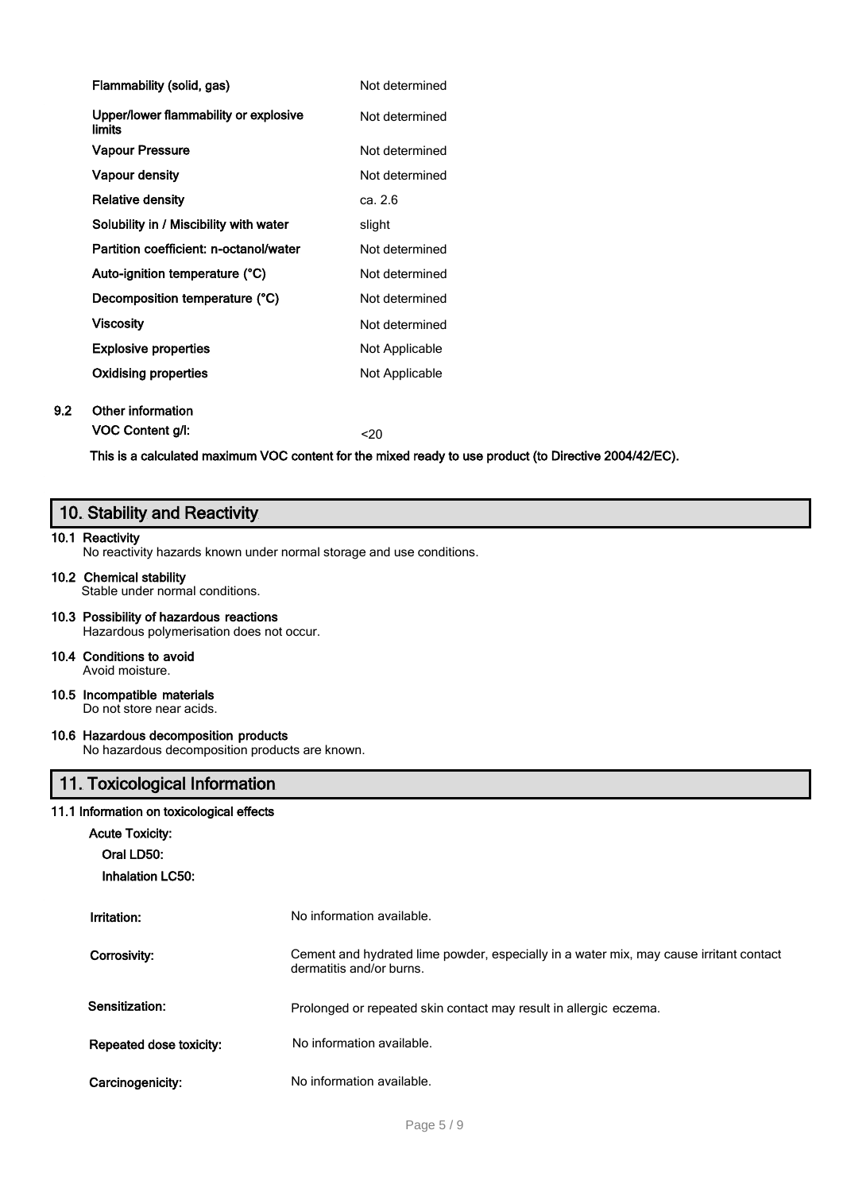| Flammability (solid, gas)                       | Not determined |
|-------------------------------------------------|----------------|
| Upper/lower flammability or explosive<br>limits | Not determined |
| <b>Vapour Pressure</b>                          | Not determined |
| <b>Vapour density</b>                           | Not determined |
| <b>Relative density</b>                         | ca. 2.6        |
| Solubility in / Miscibility with water          | slight         |
| Partition coefficient: n-octanol/water          | Not determined |
| Auto-ignition temperature (°C)                  | Not determined |
| Decomposition temperature (°C)                  | Not determined |
| <b>Viscosity</b>                                | Not determined |
| <b>Explosive properties</b>                     | Not Applicable |
| <b>Oxidising properties</b>                     | Not Applicable |
|                                                 |                |

# 9.2 Other information

VOC Content g/l:  $\leq 20$ 

This is a calculated maximum VOC content for the mixed ready to use product (to Directive 2004/42/EC).

# 10. Stability and Reactivity

### 10.1 Reactivity

No reactivity hazards known under normal storage and use conditions.

## 10.2 Chemical stability

Stable under normal conditions.

10.3 Possibility of hazardous reactions Hazardous polymerisation does not occur.

# 10.4 Conditions to avoid

Avoid moisture.

#### 10.5 Incompatible materials Do not store near acids.

10.6 Hazardous decomposition products

No hazardous decomposition products are known.

# 11. Toxicological Information

### 11.1 Information on toxicological effects

| <b>Acute Toxicity:</b><br>Oral LD50:<br><b>Inhalation LC50:</b> |                                                                                                                    |
|-----------------------------------------------------------------|--------------------------------------------------------------------------------------------------------------------|
| Irritation:                                                     | No information available.                                                                                          |
| Corrosivity:                                                    | Cement and hydrated lime powder, especially in a water mix, may cause irritant contact<br>dermatitis and/or burns. |
| Sensitization:                                                  | Prolonged or repeated skin contact may result in allergic eczema.                                                  |
| Repeated dose toxicity:                                         | No information available.                                                                                          |
| Carcinogenicity:                                                | No information available.                                                                                          |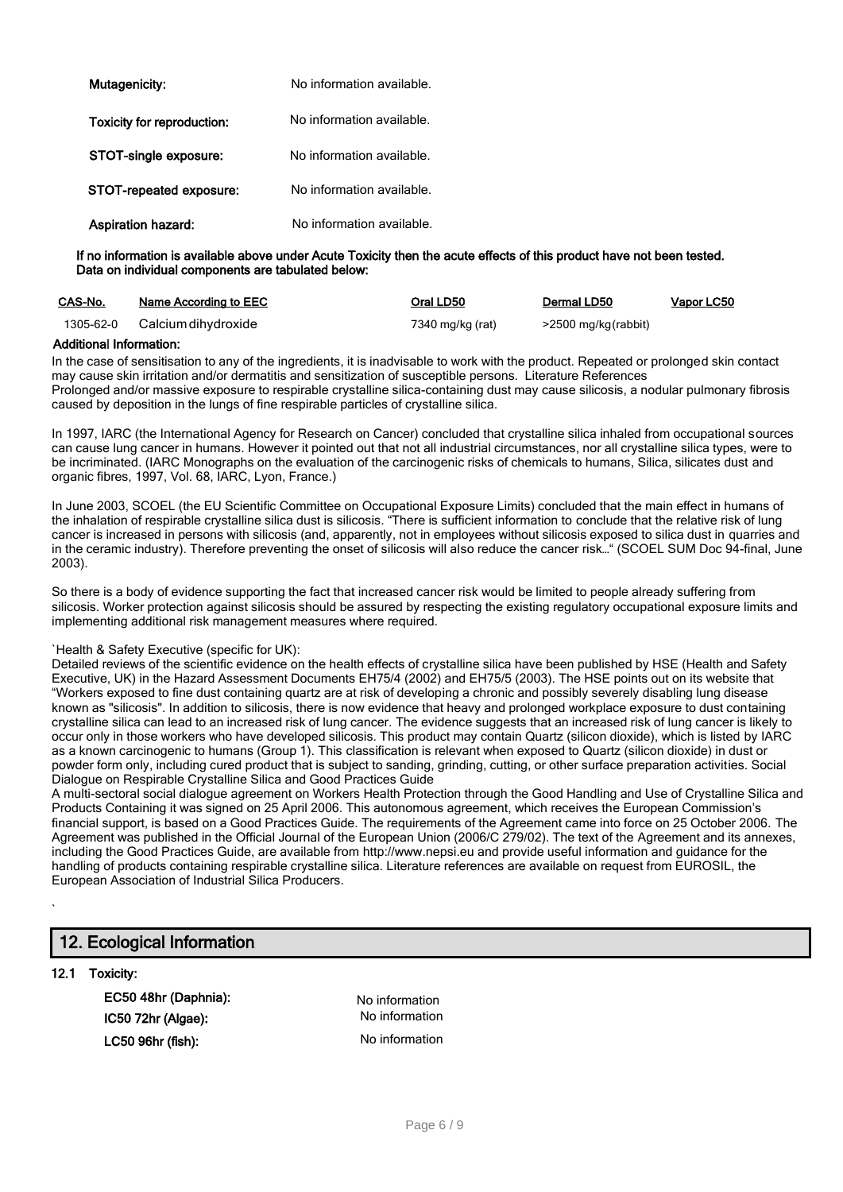| Mutagenicity:              | No information available. |
|----------------------------|---------------------------|
| Toxicity for reproduction: | No information available. |
| STOT-single exposure:      | No information available. |
| STOT-repeated exposure:    | No information available. |
| <b>Aspiration hazard:</b>  | No information available. |

#### If no information is available above under Acute Toxicity then the acute effects of this product have not been tested. Data on individual components are tabulated below:

| CAS-No.   | <b>Name According to EEC</b> | Oral LD50        | Dermal LD50         | Vapor LC50 |
|-----------|------------------------------|------------------|---------------------|------------|
| 1305-62-0 | Calcium dihydroxide          | 7340 mg/kg (rat) | >2500 mg/kg(rabbit) |            |

### Additional Information:

In the case of sensitisation to any of the ingredients, it is inadvisable to work with the product. Repeated or prolonged skin contact may cause skin irritation and/or dermatitis and sensitization of susceptible persons. Literature References Prolonged and/or massive exposure to respirable crystalline silica-containing dust may cause silicosis, a nodular pulmonary fibrosis caused by deposition in the lungs of fine respirable particles of crystalline silica.

In 1997, IARC (the International Agency for Research on Cancer) concluded that crystalline silica inhaled from occupational sources can cause lung cancer in humans. However it pointed out that not all industrial circumstances, nor all crystalline silica types, were to be incriminated. (IARC Monographs on the evaluation of the carcinogenic risks of chemicals to humans, Silica, silicates dust and organic fibres, 1997, Vol. 68, IARC, Lyon, France.)

In June 2003, SCOEL (the EU Scientific Committee on Occupational Exposure Limits) concluded that the main effect in humans of the inhalation of respirable crystalline silica dust is silicosis. "There is sufficient information to conclude that the relative risk of lung cancer is increased in persons with silicosis (and, apparently, not in employees without silicosis exposed to silica dust in quarries and in the ceramic industry). Therefore preventing the onset of silicosis will also reduce the cancer risk…" (SCOEL SUM Doc 94-final, June 2003).

So there is a body of evidence supporting the fact that increased cancer risk would be limited to people already suffering from silicosis. Worker protection against silicosis should be assured by respecting the existing regulatory occupational exposure limits and implementing additional risk management measures where required.

### `Health & Safety Executive (specific for UK):

Detailed reviews of the scientific evidence on the health effects of crystalline silica have been published by HSE (Health and Safety Executive, UK) in the Hazard Assessment Documents EH75/4 (2002) and EH75/5 (2003). The HSE points out on its website that "Workers exposed to fine dust containing quartz are at risk of developing a chronic and possibly severely disabling lung disease known as "silicosis". In addition to silicosis, there is now evidence that heavy and prolonged workplace exposure to dust containing crystalline silica can lead to an increased risk of lung cancer. The evidence suggests that an increased risk of lung cancer is likely to occur only in those workers who have developed silicosis. This product may contain Quartz (silicon dioxide), which is listed by IARC as a known carcinogenic to humans (Group 1). This classification is relevant when exposed to Quartz (silicon dioxide) in dust or powder form only, including cured product that is subject to sanding, grinding, cutting, or other surface preparation activities. Social Dialogue on Respirable Crystalline Silica and Good Practices Guide

A multi-sectoral social dialogue agreement on Workers Health Protection through the Good Handling and Use of Crystalline Silica and Products Containing it was signed on 25 April 2006. This autonomous agreement, which receives the European Commission's financial support, is based on a Good Practices Guide. The requirements of the Agreement came into force on 25 October 2006. The Agreement was published in the Official Journal of the European Union (2006/C 279/02). The text of the Agreement and its annexes, including the Good Practices Guide, are available from [http://www.nepsi.eu](http://www.nepsi.eu/) and provide useful information and guidance for the handling of products containing respirable crystalline silica. Literature references are available on request from EUROSIL, the European Association of Industrial Silica Producers.

# 12. Ecological Information

### 12.1 Toxicity:

`

EC50 48hr (Daphnia): No information IC50 72hr (Algae): LC50 96hr (fish):

No information No information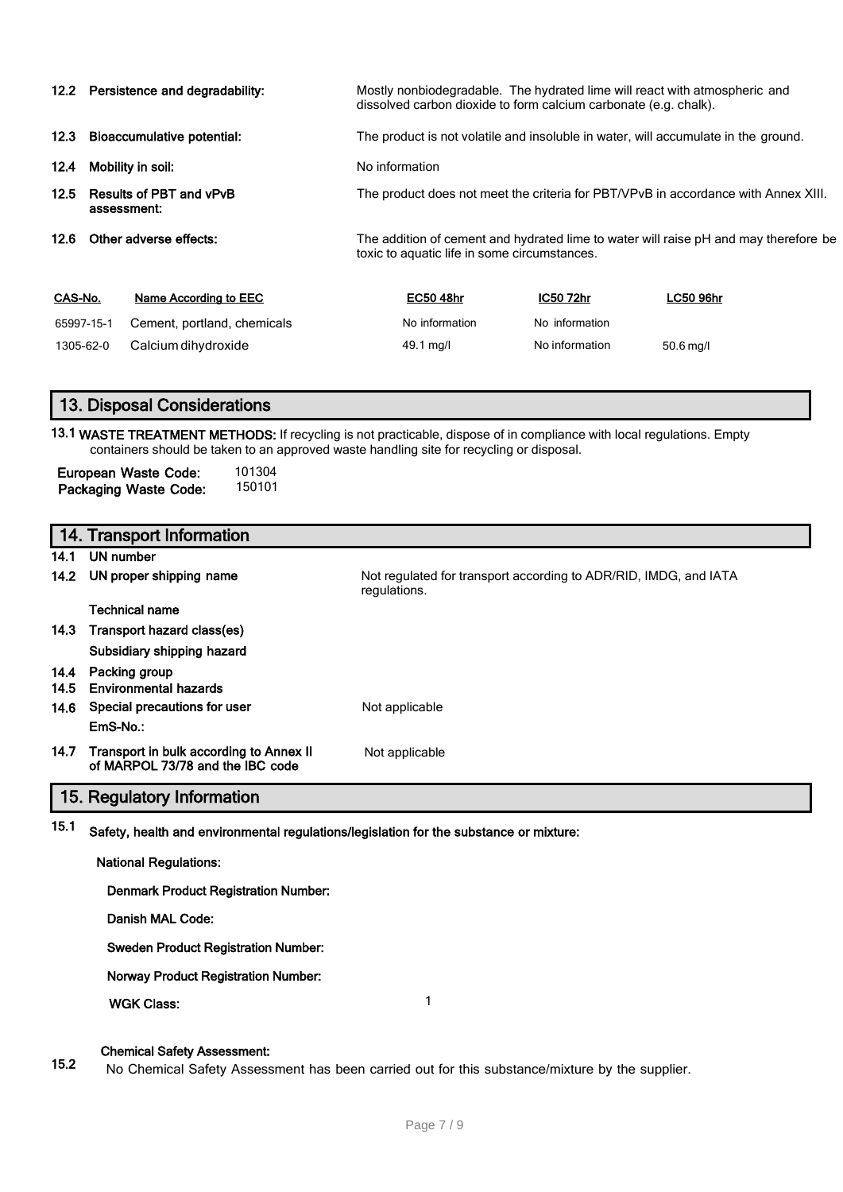|                                |                                               | 12.2 Persistence and degradability:                                                                                                  |                                                                                    | dissolved carbon dioxide to form calcium carbonate (e.g. chalk). |                | Mostly nonbiodegradable. The hydrated lime will react with atmospheric and |
|--------------------------------|-----------------------------------------------|--------------------------------------------------------------------------------------------------------------------------------------|------------------------------------------------------------------------------------|------------------------------------------------------------------|----------------|----------------------------------------------------------------------------|
| 12.3                           | <b>Bioaccumulative potential:</b>             |                                                                                                                                      | The product is not volatile and insoluble in water, will accumulate in the ground. |                                                                  |                |                                                                            |
| 12.4                           |                                               | Mobility in soil:                                                                                                                    |                                                                                    | No information                                                   |                |                                                                            |
| 12.5                           | <b>Results of PBT and vPvB</b><br>assessment: |                                                                                                                                      | The product does not meet the criteria for PBT/VPvB in accordance with Annex XIII. |                                                                  |                |                                                                            |
| Other adverse effects:<br>12.6 |                                               | The addition of cement and hydrated lime to water will raise pH and may therefore be<br>toxic to aquatic life in some circumstances. |                                                                                    |                                                                  |                |                                                                            |
| CAS-No.                        |                                               | <b>Name According to EEC</b>                                                                                                         |                                                                                    | <b>EC50 48hr</b>                                                 | IC50 72hr      | LC50 96hr                                                                  |
| 65997-15-1                     |                                               | Cement, portland, chemicals                                                                                                          |                                                                                    | No information                                                   | No information |                                                                            |
| 1305-62-0                      |                                               | Calcium dihydroxide                                                                                                                  |                                                                                    | 49.1 mg/l                                                        | No information | 50.6 mg/l                                                                  |

# 13. Disposal Considerations

13.1 WASTE TREATMENT METHODS: If recycling is not practicable, dispose of in compliance with local regulations. Empty containers should be taken to an approved waste handling site for recycling or disposal.

| European Waste Code:         | 101304 |
|------------------------------|--------|
| <b>Packaging Waste Code:</b> | 150101 |

|              | 14. Transport Information                                                                                   |                                                                                  |
|--------------|-------------------------------------------------------------------------------------------------------------|----------------------------------------------------------------------------------|
| 14.1         | UN number                                                                                                   |                                                                                  |
| 14.2         | UN proper shipping name                                                                                     | Not regulated for transport according to ADR/RID, IMDG, and IATA<br>regulations. |
|              | <b>Technical name</b>                                                                                       |                                                                                  |
| 14.3         | Transport hazard class(es)                                                                                  |                                                                                  |
|              | Subsidiary shipping hazard                                                                                  |                                                                                  |
| 14.4<br>14.5 | Packing group<br><b>Environmental hazards</b>                                                               |                                                                                  |
| 14.6         | Special precautions for user                                                                                | Not applicable                                                                   |
|              | EmS-No.:                                                                                                    |                                                                                  |
| 14.7         | Transport in bulk according to Annex II<br>of MARPOL 73/78 and the IBC code                                 | Not applicable                                                                   |
|              | 15. Regulatory Information                                                                                  |                                                                                  |
|              | $15.1$ . Orbital landship and conductive and the subdivisional validation funds a subdivision consideration |                                                                                  |

# <sup>15.1</sup> Safety, health and environmental regulations/legislation for the substance or mixture:

| <b>National Regulations:</b>                |  |  |
|---------------------------------------------|--|--|
| <b>Denmark Product Registration Number:</b> |  |  |
| Danish MAL Code:                            |  |  |
| <b>Sweden Product Registration Number:</b>  |  |  |
| <b>Norway Product Registration Number:</b>  |  |  |
| <b>WGK Class:</b>                           |  |  |
|                                             |  |  |

### Chemical Safety Assessment:

15.2 No Chemical Safety Assessment has been carried out for this substance/mixture by the supplier.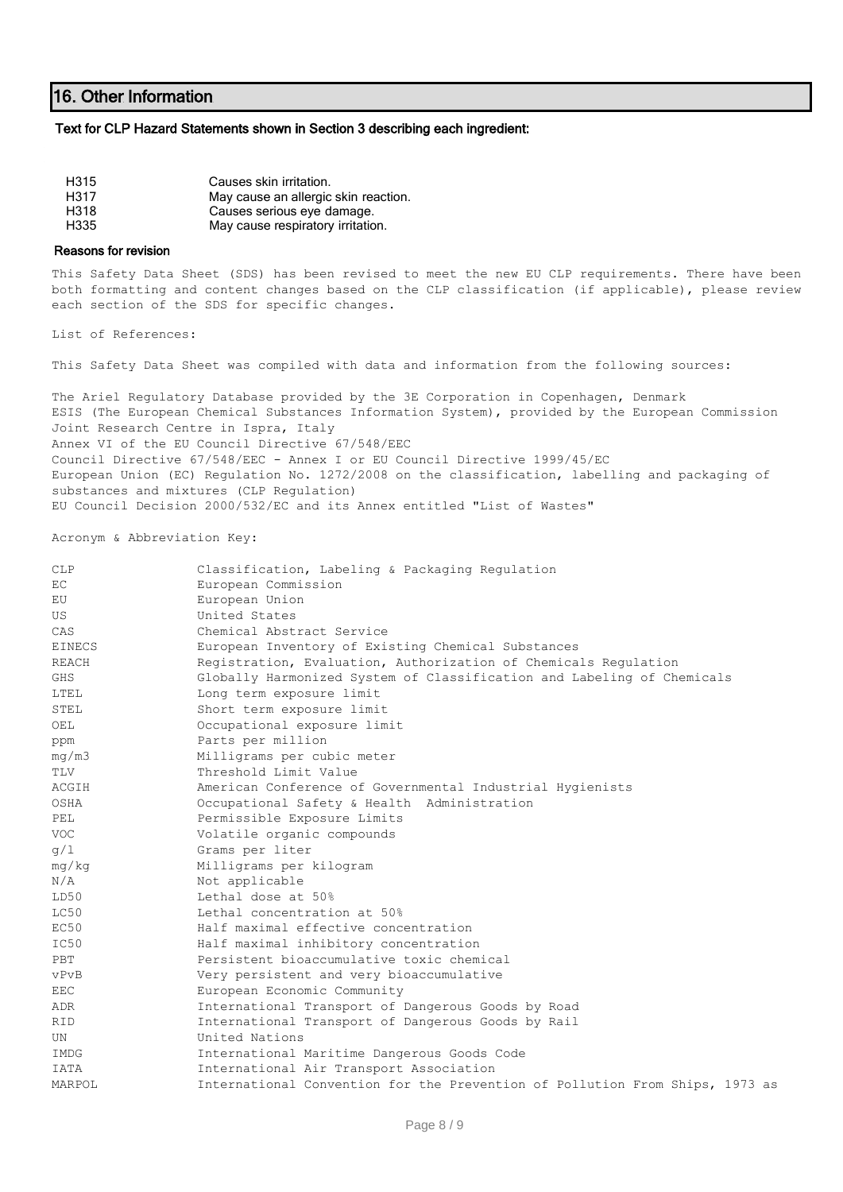# 16. Other Information

#### Text for CLP Hazard Statements shown in Section 3 describing each ingredient:

| H315 | Causes skin irritation.              |
|------|--------------------------------------|
| H317 | May cause an allergic skin reaction. |
| H318 | Causes serious eye damage.           |
| H335 | May cause respiratory irritation.    |

#### Reasons for revision

This Safety Data Sheet (SDS) has been revised to meet the new EU CLP requirements. There have been both formatting and content changes based on the CLP classification (if applicable), please review each section of the SDS for specific changes.

List of References:

This Safety Data Sheet was compiled with data and information from the following sources:

The Ariel Regulatory Database provided by the 3E Corporation in Copenhagen, Denmark ESIS (The European Chemical Substances Information System), provided by the European Commission Joint Research Centre in Ispra, Italy Annex VI of the EU Council Directive 67/548/EEC Council Directive 67/548/EEC - Annex I or EU Council Directive 1999/45/EC European Union (EC) Regulation No. 1272/2008 on the classification, labelling and packaging of substances and mixtures (CLP Regulation) EU Council Decision 2000/532/EC and its Annex entitled "List of Wastes"

Acronym & Abbreviation Key:

| <b>CLP</b>    | Classification, Labeling & Packaging Regulation                              |
|---------------|------------------------------------------------------------------------------|
| EC            | European Commission                                                          |
| EU            | European Union                                                               |
| US            | United States                                                                |
| CAS           | Chemical Abstract Service                                                    |
| <b>EINECS</b> | European Inventory of Existing Chemical Substances                           |
| REACH         | Registration, Evaluation, Authorization of Chemicals Regulation              |
| <b>GHS</b>    | Globally Harmonized System of Classification and Labeling of Chemicals       |
| LTEL.         | Long term exposure limit                                                     |
| STEL          | Short term exposure limit                                                    |
| OEL           | Occupational exposure limit                                                  |
| ppm           | Parts per million                                                            |
| mq/m3         | Milligrams per cubic meter                                                   |
| TLV           | Threshold Limit Value                                                        |
| ACGIH         | American Conference of Governmental Industrial Hygienists                    |
| OSHA          | Occupational Safety & Health Administration                                  |
| PEL           | Permissible Exposure Limits                                                  |
| <b>VOC</b>    | Volatile organic compounds                                                   |
| q/1           | Grams per liter                                                              |
| mg/kg         | Milligrams per kilogram                                                      |
| N/A           | Not applicable                                                               |
| LD50          | Lethal dose at 50%                                                           |
| LC50          | Lethal concentration at 50%                                                  |
| EC50          | Half maximal effective concentration                                         |
| IC50          | Half maximal inhibitory concentration                                        |
| PBT           | Persistent bioaccumulative toxic chemical                                    |
| vPvB          | Very persistent and very bioaccumulative                                     |
| <b>EEC</b>    | European Economic Community                                                  |
| ADR           | International Transport of Dangerous Goods by Road                           |
| RID           | International Transport of Dangerous Goods by Rail                           |
| UN            | United Nations                                                               |
| IMDG          | International Maritime Dangerous Goods Code                                  |
| IATA          | International Air Transport Association                                      |
| MARPOL        | International Convention for the Prevention of Pollution From Ships, 1973 as |